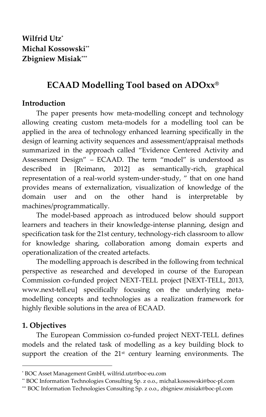# **ECAAD Modelling Tool based on ADOxx®**

### **Introduction**

The paper presents how meta-modelling concept and technology allowing creating custom meta-models for a modelling tool can be applied in the area of technology enhanced learning specifically in the design of learning activity sequences and assessment/appraisal methods summarized in the approach called "Evidence Centered Activity and Assessment Design" – ECAAD. The term "model" is understood as described in [Reimann, 2012] as semantically-rich, graphical representation of a real-world system-under-study, " that on one hand provides means of externalization, visualization of knowledge of the domain user and on the other hand is interpretable by machines/programmatically.

The model-based approach as introduced below should support learners and teachers in their knowledge-intense planning, design and specification task for the 21st century, technology-rich classroom to allow for knowledge sharing, collaboration among domain experts and operationalization of the created artefacts.

The modelling approach is described in the following from technical perspective as researched and developed in course of the European Commission co-funded project NEXT-TELL project [NEXT-TELL, 2013, www.next-tell.eu] specifically focusing on the underlying metamodelling concepts and technologies as a realization framework for highly flexible solutions in the area of ECAAD.

### **1. Objectives**

1

The European Commission co-funded project NEXT-TELL defines models and the related task of modelling as a key building block to support the creation of the 21<sup>st</sup> century learning environments. The

<sup>\*</sup> BOC Asset Management GmbH, wilfrid.utz@boc-eu.com

<sup>\*\*</sup> BOC Information Technologies Consulting Sp. z o.o., michal.kossowski@boc-pl.com

<sup>\*\*\*</sup> BOC Information Technologies Consulting Sp. z o.o., zbigniew.misiak@boc-pl.com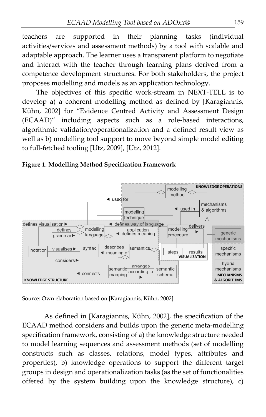teachers are supported in their planning tasks (individual activities/services and assessment methods) by a tool with scalable and adaptable approach. The learner uses a transparent platform to negotiate and interact with the teacher through learning plans derived from a competence development structures. For both stakeholders, the project proposes modelling and models as an application technology.

The objectives of this specific work-stream in NEXT-TELL is to develop a) a coherent modelling method as defined by [Karagiannis, Kühn, 2002] for "Evidence Centred Activity and Assessment Design (ECAAD)" including aspects such as a role-based interactions, algorithmic validation/operationalization and a defined result view as well as b) modelling tool support to move beyond simple model editing to full-fetched tooling [Utz, 2009], [Utz, 2012].





Source: Own elaboration based on [Karagiannis, Kühn, 2002].

As defined in [Karagiannis, Kühn, 2002], the specification of the ECAAD method considers and builds upon the generic meta-modelling specification framework, consisting of a) the knowledge structure needed to model learning sequences and assessment methods (set of modelling constructs such as classes, relations, model types, attributes and properties), b) knowledge operations to support the different target groups in design and operationalization tasks (as the set of functionalities offered by the system building upon the knowledge structure), c)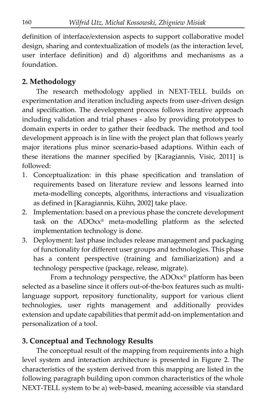definition of interface/extension aspects to support collaborative model design, sharing and contextualization of models (as the interaction level, user interface definition) and d) algorithms and mechanisms as a foundation.

## **2. Methodology**

The research methodology applied in NEXT-TELL builds on experimentation and iteration including aspects from user-driven design and specification. The development process follows iterative approach including validation and trial phases - also by providing prototypes to domain experts in order to gather their feedback. The method and tool development approach is in line with the project plan that follows yearly major iterations plus minor scenario-based adaptions. Within each of these iterations the manner specified by [Karagiannis, Visic, 2011] is followed:

- 1. Conceptualization: in this phase specification and translation of requirements based on literature review and lessons learned into meta-modelling concepts, algorithms, interactions and visualization as defined in [Karagiannis, Kühn, 2002] take place.
- 2. Implementation: based on a previous phase the concrete development task on the ADOxx® meta-modelling platform as the selected implementation technology is done.
- 3. Deployment: last phase includes release management and packaging of functionality for different user groups and technologies. This phase has a content perspective (training and familiarization) and a technology perspective (package, release, migrate).

From a technology perspective, the ADOxx® platform has been selected as a baseline since it offers out-of-the-box features such as multilanguage support, repository functionality, support for various client technologies, user rights management and additionally provides extension and update capabilities that permit add-on implementation and personalization of a tool.

### **3. Conceptual and Technology Results**

The conceptual result of the mapping from requirements into a high level system and interaction architecture is presented in Figure 2. The characteristics of the system derived from this mapping are listed in the following paragraph building upon common characteristics of the whole NEXT-TELL system to be a) web-based, meaning accessible via standard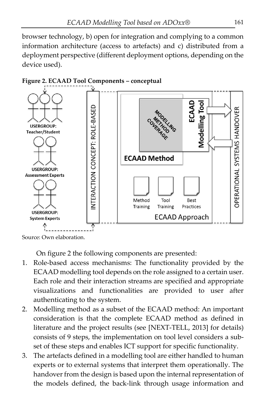browser technology, b) open for integration and complying to a common information architecture (access to artefacts) and c) distributed from a deployment perspective (different deployment options, depending on the device used).



**Figure 2. ECAAD Tool Components – conceptual**

Source: Own elaboration.

On figure 2 the following components are presented:

- 1. Role-based access mechanisms: The functionality provided by the ECAAD modelling tool depends on the role assigned to a certain user. Each role and their interaction streams are specified and appropriate visualizations and functionalities are provided to user after authenticating to the system.
- 2. Modelling method as a subset of the ECAAD method: An important consideration is that the complete ECAAD method as defined in literature and the project results (see [NEXT-TELL, 2013] for details) consists of 9 steps, the implementation on tool level considers a subset of these steps and enables ICT support for specific functionality.
- 3. The artefacts defined in a modelling tool are either handled to human experts or to external systems that interpret them operationally. The handover from the design is based upon the internal representation of the models defined, the back-link through usage information and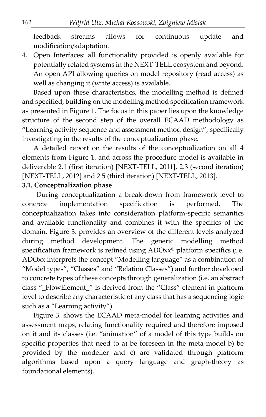feedback streams allows for continuous update and modification/adaptation.

4. Open Interfaces: all functionality provided is openly available for potentially related systems in the NEXT-TELL ecosystem and beyond. An open API allowing queries on model repository (read access) as well as changing it (write access) is available.

Based upon these characteristics, the modelling method is defined and specified, building on the modelling method specification framework as presented in Figure 1. The focus in this paper lies upon the knowledge structure of the second step of the overall ECAAD methodology as "Learning activity sequence and assessment method design", specifically investigating in the results of the conceptualization phase.

A detailed report on the results of the conceptualization on all 4 elements from Figure 1. and across the procedure model is available in deliverable 2.1 (first iteration) [NEXT-TELL, 2011], 2.3 (second iteration) [NEXT-TELL, 2012] and 2.5 (third iteration) [NEXT-TELL, 2013].

#### **3.1. Conceptualization phase**

During conceptualization a break-down from framework level to concrete implementation specification is performed. The conceptualization takes into consideration platform-specific semantics and available functionality and combines it with the specifics of the domain. Figure 3. provides an overview of the different levels analyzed during method development. The generic modelling method specification framework is refined using ADOxx<sup>®</sup> platform specifics (i.e. ADOxx interprets the concept "Modelling language" as a combination of "Model types", "Classes" and "Relation Classes") and further developed to concrete types of these concepts through generalization (i.e. an abstract class "\_FlowElement\_" is derived from the "Class" element in platform level to describe any characteristic of any class that has a sequencing logic such as a "Learning activity").

Figure 3. shows the ECAAD meta-model for learning activities and assessment maps, relating functionality required and therefore imposed on it and its classes (i.e. "animation" of a model of this type builds on specific properties that need to a) be foreseen in the meta-model b) be provided by the modeller and c) are validated through platform algorithms based upon a query language and graph-theory as foundational elements).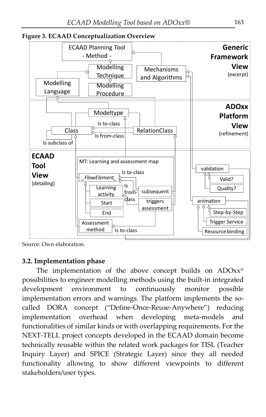

Source: Own elaboration.

#### **3.2. Implementation phase**

The implementation of the above concept builds on ADOxx® possibilities to engineer modelling methods using the built-in integrated development environment to continuously monitor possible implementation errors and warnings. The platform implements the socalled DORA concept ("Define-Once-Reuse-Anywhere") reducing implementation overhead when developing meta-models and functionalities of similar kinds or with overlapping requirements. For the NEXT-TELL project concepts developed in the ECAAD domain become technically reusable within the related work packages for TISL (Teacher Inquiry Layer) and SPICE (Strategic Layer) since they all needed functionality allowing to show different viewpoints to different stakeholders/user types.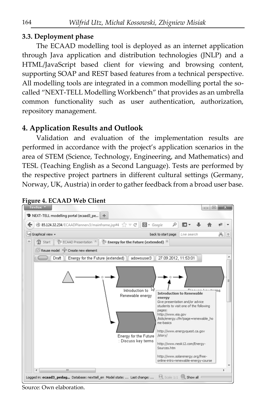### **3.3. Deployment phase**

The ECAAD modelling tool is deployed as an internet application through Java application and distribution technologies (JNLP) and a HTML/JavaScript based client for viewing and browsing content, supporting SOAP and REST based features from a technical perspective. All modelling tools are integrated in a common modelling portal the socalled "NEXT-TELL Modelling Workbench" that provides as an umbrella common functionality such as user authentication, authorization, repository management.

## **4. Application Results and Outlook**

Validation and evaluation of the implementation results are performed in accordance with the project's application scenarios in the area of STEM (Science, Technology, Engineering, and Mathematics) and TESL (Teaching English as a Second Language). Tests are performed by the respective project partners in different cultural settings (Germany, Norway, UK, Austria) in order to gather feedback from a broad user base.





Source: Own elaboration.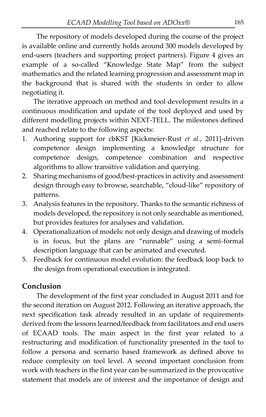The repository of models developed during the course of the project is available online and currently holds around 300 models developed by end-users (teachers and supporting project partners). Figure 4 gives an example of a so-called "Knowledge State Map" from the subject mathematics and the related learning progression and assessment map in the background that is shared with the students in order to allow negotiating it.

The iterative approach on method and tool development results in a continuous modification and update of the tool deployed and used by different modelling projects within NEXT-TELL. The milestones defined and reached relate to the following aspects:

- 1. Authoring support for cbKST [Kickmeier-Rust *et al.*, 2011]-driven competence design implementing a knowledge structure for competence design, competence combination and respective algorithms to allow transitive validation and querying.
- 2. Sharing mechanisms of good/best-practices in activity and assessment design through easy to browse, searchable, "cloud-like" repository of patterns.
- 3. Analysis features in the repository. Thanks to the semantic richness of models developed, the repository is not only searchable as mentioned, but provides features for analyses and validation.
- 4. Operationalization of models: not only design and drawing of models is in focus, but the plans are "runnable" using a semi-formal description language that can be animated and executed.
- 5. Feedback for continuous model evolution: the feedback loop back to the design from operational execution is integrated.

## **Conclusion**

The development of the first year concluded in August 2011 and for the second iteration on August 2012. Following an iterative approach, the next specification task already resulted in an update of requirements derived from the lessons learned/feedback from facilitators and end users of ECAAD tools. The main aspect in the first year related to a restructuring and modification of functionality presented in the tool to follow a persona and scenario based framework as defined above to reduce complexity on tool level. A second important conclusion from work with teachers in the first year can be summarized in the provocative statement that models are of interest and the importance of design and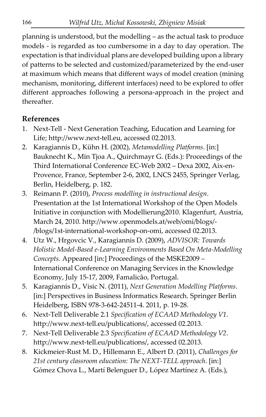planning is understood, but the modelling – as the actual task to produce models - is regarded as too cumbersome in a day to day operation. The expectation is that individual plans are developed building upon a library of patterns to be selected and customized/parameterized by the end-user at maximum which means that different ways of model creation (mining mechanism, monitoring, different interfaces) need to be explored to offer different approaches following a persona-approach in the project and thereafter.

## **References**

- 1. Next-Tell Next Generation Teaching, Education and Learning for Life; http://www.next-tell.eu, accessed 02.2013.
- 2. Karagiannis D., Kühn H. (2002), *Metamodelling Platforms*. [in:] Bauknecht K., Min Tjoa A., Quirchmayr G. (Eds.): Proceedings of the Third International Conference EC-Web 2002 – Dexa 2002, Aix-en-Provence, France, September 2-6, 2002, LNCS 2455, Springer Verlag, Berlin, Heidelberg, p. 182.
- 3. Reimann P. (2010), *Process modelling in instructional design*. Presentation at the 1st International Workshop of the Open Models Initiative in conjunction with Modellierung2010. Klagenfurt, Austria, March 24, 2010. http://www.openmodels.at/web/omi/blogs/- /blogs/1st-international-workshop-on-omi, accessed 02.2013.
- 4. Utz W., Hrgovcic V., Karagiannis D. (2009), *ADVISOR: Towards Holistic Model-Based e-Learning Environments Based On Meta-Modelling Concepts*. Appeared [in:] Proceedings of the MSKE2009 – International Conference on Managing Services in the Knowledge Economy, July 15-17, 2009, Famalicão, Portugal.
- 5. Karagiannis D., Visic N. (2011), *Next Generation Modelling Platforms*. [in:] Perspectives in Business Informatics Research. Springer Berlin Heidelberg, ISBN 978-3-642-24511-4. 2011, p. 19-28.
- 6. Next-Tell Deliverable 2.1 *Specification of ECAAD Methodology V1*. http://www.next-tell.eu/publications/, accessed 02.2013.
- 7. Next-Tell Deliverable 2.3 *Specification of ECAAD Methodology V2*. http://www.next-tell.eu/publications/, accessed 02.2013.
- 8. Kickmeier-Rust M. D., Hillemann E., Albert D. (2011), *Challenges for 21st century classroom education: The NEXT-TELL approach*. [in:] Gómez Chova L., Martí Belenguer D., López Martínez A. (Eds.),